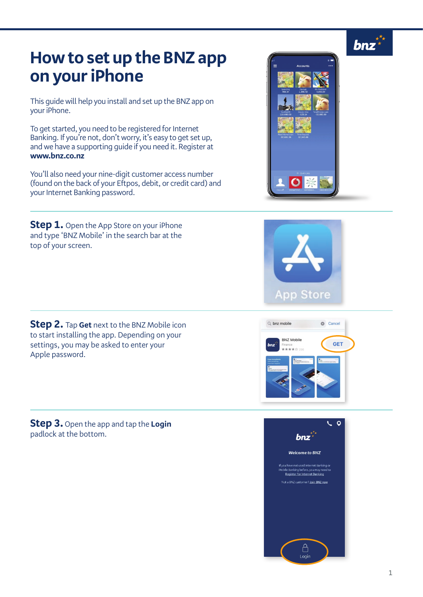

## **How to set up the BNZ app on your iPhone**

This guide will help you install and set up the BNZ app on your iPhone.

To get started, you need to be registered for Internet Banking. If you're not, don't worry, it's easy to get set up, and we have a supporting guide if you need it. Register at **www.bnz.co.nz**

You'll also need your nine-digit customer access number (found on the back of your Eftpos, debit, or credit card) and your Internet Banking password.

**Step 1.** Open the App Store on your iPhone and type 'BNZ Mobile' in the search bar at the top of your screen.

**Step 2.** Tap **Get** next to the BNZ Mobile icon to start installing the app. Depending on your settings, you may be asked to enter your Apple password.

**Step 3.** Open the app and tap the **Login** padlock at the bottom.



If you have not used Internet Bankin<br>Mobile Banking before, you may nee<br>Register for Internet Banking Not a BNZ customer? Join BNZ now

> $\bigcap$ Login



 $$ 

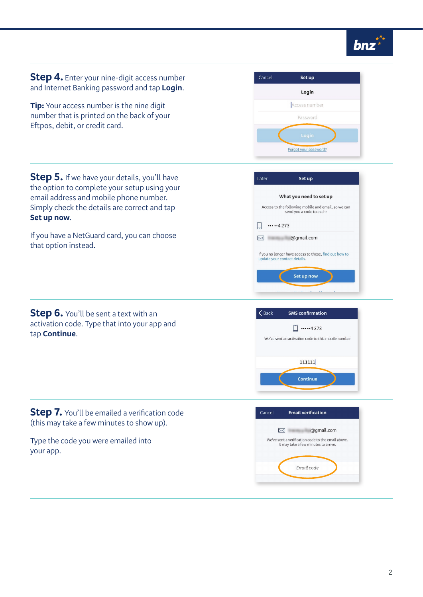